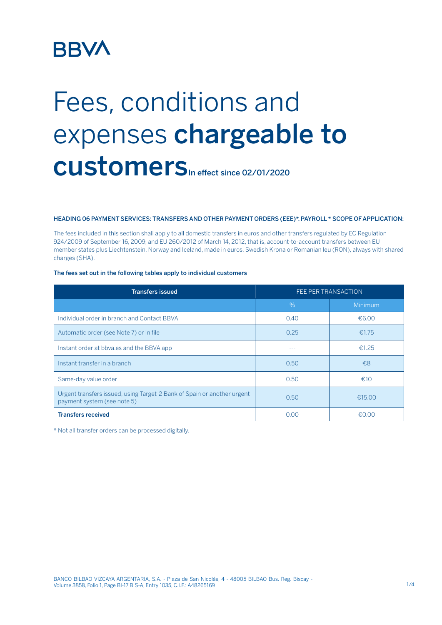## **BBVA**

# Fees, conditions and expenses chargeable to CUStomers<sub>In effect since 02/01/2020</sub>

#### HEADING 06 PAYMENT SERVICES: TRANSFERS AND OTHER PAYMENT ORDERS (EEE)\*. PAYROLL \* SCOPE OF APPLICATION:

The fees included in this section shall apply to all domestic transfers in euros and other transfers regulated by EC Regulation 924/2009 of September 16, 2009, and EU 260/2012 of March 14, 2012, that is, account-to-account transfers between EU member states plus Liechtenstein, Norway and Iceland, made in euros, Swedish Krona or Romanian leu (RON), always with shared charges (SHA).

#### The fees set out in the following tables apply to individual customers

| <b>Transfers issued</b>                                                                                | FEE PER TRANSACTION |         |
|--------------------------------------------------------------------------------------------------------|---------------------|---------|
|                                                                                                        | $\%$                | Minimum |
| Individual order in branch and Contact BBVA                                                            | 0.40                | €6.00   |
| Automatic order (see Note 7) or in file                                                                | 0.25                | €1.75   |
| Instant order at bbya.es and the BBVA app                                                              |                     | €1.25   |
| Instant transfer in a branch                                                                           | 0.50                | £8      |
| Same-day value order                                                                                   | 0.50                | €10     |
| Urgent transfers issued, using Target-2 Bank of Spain or another urgent<br>payment system (see note 5) | 0.50                | €15.00  |
| <b>Transfers received</b>                                                                              | 0.00                | €0.00   |

\* Not all transfer orders can be processed digitally.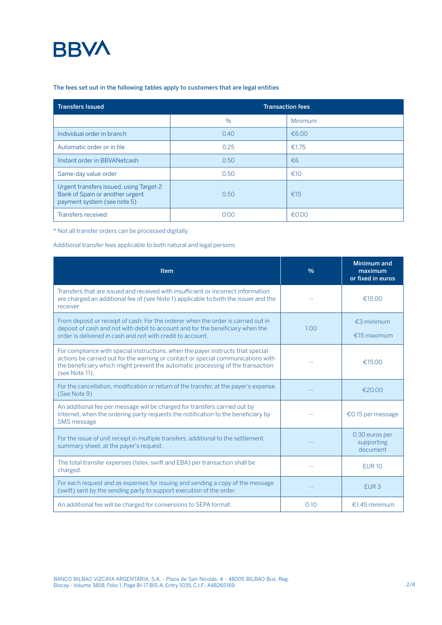### **BBVA**

#### The fees set out in the following tables apply to customers that are legal entities

| <b>Transfers Issued</b>                                                                                   | <b>Transaction fees</b> |              |  |
|-----------------------------------------------------------------------------------------------------------|-------------------------|--------------|--|
|                                                                                                           | $\frac{0}{0}$           | Minimum      |  |
| Individual order in branch                                                                                | 0.40                    | €6.00        |  |
| Automatic order or in file                                                                                | 0.25                    | €1.75        |  |
| Instant order in BBVANetcash                                                                              | 0.50                    | $\epsilon$ 6 |  |
| Same-day value order                                                                                      | 0.50                    | €10          |  |
| Urgent transfers issued, using Target-2<br>Bank of Spain or another urgent<br>payment system (see note 5) | 0.50                    | £15          |  |
| Transfers received                                                                                        | 0.00                    | €0.00        |  |

\* Not all transfer orders can be processed digitally.

#### Additional transfer fees applicable to both natural and legal persons

| Item                                                                                                                                                                                                                                                                     | $\frac{0}{0}$ | Minimum and<br>maximum<br>or fixed in euros |
|--------------------------------------------------------------------------------------------------------------------------------------------------------------------------------------------------------------------------------------------------------------------------|---------------|---------------------------------------------|
| Transfers that are issued and received with insufficient or incorrect information<br>are charged an additional fee of (see Note 1) applicable to both the issuer and the<br>receiver                                                                                     |               | €15.00                                      |
| From deposit or receipt of cash: For the orderer when the order is carried out in<br>deposit of cash and not with debit to account and for the beneficiary when the<br>order is delivered in cash and not with credit to account.                                        | 1.00          | €3 minimum<br>€15 maximum                   |
| For compliance with special instructions, when the payer instructs that special<br>actions be carried out for the warning or contact or special communications with<br>the beneficiary which might prevent the automatic processing of the transaction<br>(see Note 11). |               | €15.00                                      |
| For the cancellation, modification or return of the transfer, at the payer's expense.<br>(See Note 9)                                                                                                                                                                    |               | €20.00                                      |
| An additional fee per message will be charged for transfers carried out by<br>Internet, when the ordering party requests the notification to the beneficiary by<br><b>SMS</b> message                                                                                    |               | €0.15 per message                           |
| For the issue of unit receipt in multiple transfers, additional to the settlement<br>summary sheet, at the payer's request.                                                                                                                                              |               | 0.30 euros per<br>supporting<br>document    |
| The total transfer expenses (telex, swift and EBA) per transaction shall be<br>charged.                                                                                                                                                                                  |               | <b>EUR 10</b>                               |
| For each request and as expenses for issuing and sending a copy of the message<br>(swift) sent by the sending party to support execution of the order.                                                                                                                   |               | EUR <sub>3</sub>                            |
| An additional fee will be charged for conversions to SEPA format.                                                                                                                                                                                                        | 0.10          | €1.45 minimum                               |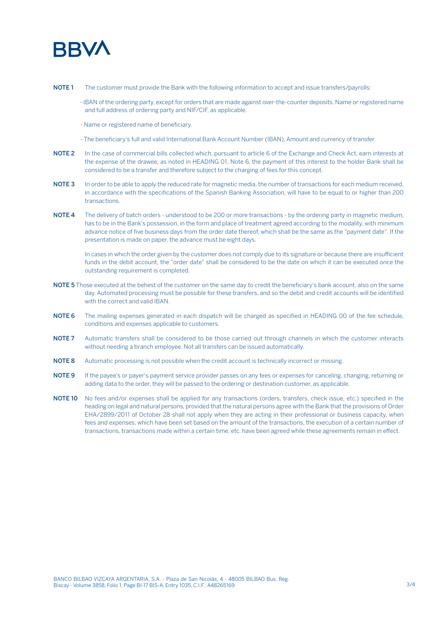

- NOTE 1 The customer must provide the Bank with the following information to accept and issue transfers/payrolls:
	- IBAN of the ordering party, except for orders that are made against over-the-counter deposits. Name or registered name and full address of ordering party and NIF/CIF, as applicable.
	- Name or registered name of beneficiary.
	- The beneficiary's full and valid International Bank Account Number (IBAN). Amount and currency of transfer.
- NOTE 2 In the case of commercial bills collected which, pursuant to article 6 of the Exchange and Check Act, earn interests at the expense of the drawee, as noted in HEADING 01, Note 6, the payment of this interest to the holder Bank shall be considered to be a transfer and therefore subject to the charging of fees for this concept.
- NOTE 3 In order to be able to apply the reduced rate for magnetic media, the number of transactions for each medium received, in accordance with the specifications of the Spanish Banking Association, will have to be equal to or higher than 200 transactions.
- NOTE 4 The delivery of batch orders understood to be 200 or more transactions by the ordering party in magnetic medium, has to be in the Bank's possession, in the form and place of treatment agreed according to the modality, with minimum advance notice of five business days from the order date thereof, which shall be the same as the "payment date". If the presentation is made on paper, the advance must be eight days.

In cases in which the order given by the customer does not comply due to its signature or because there are insufficient funds in the debit account, the "order date" shall be considered to be the date on which it can be executed once the outstanding requirement is completed.

- NOTE 5 Those executed at the behest of the customer on the same day to credit the beneficiary's bank account, also on the same day. Automated processing must be possible for these transfers, and so the debit and credit accounts will be identified with the correct and valid IBAN.
- NOTE 6 The mailing expenses generated in each dispatch will be charged as specified in HEADING 00 of the fee schedule, conditions and expenses applicable to customers.
- NOTE 7 Automatic transfers shall be considered to be those carried out through channels in which the customer interacts without needing a branch employee. Not all transfers can be issued automatically.
- NOTE 8 Automatic processing is not possible when the credit account is technically incorrect or missing.
- NOTE 9 If the payee's or payer's payment service provider passes on any fees or expenses for canceling, changing, returning or adding data to the order, they will be passed to the ordering or destination customer, as applicable.
- NOTE 10 No fees and/or expenses shall be applied for any transactions (orders, transfers, check issue, etc.) specified in the heading on legal and natural persons, provided that the natural persons agree with the Bank that the provisions of Order EHA/2899/2011 of October 28 shall not apply when they are acting in their professional or business capacity, when fees and expenses, which have been set based on the amount of the transactions, the execution of a certain number of transactions, transactions made within a certain time, etc. have been agreed while these agreements remain in effect.